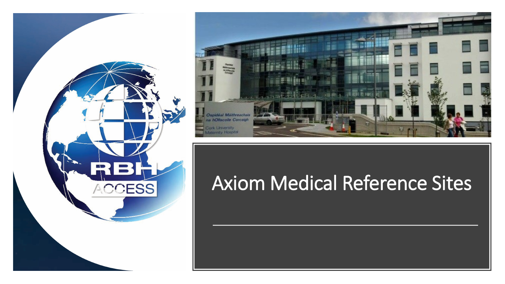



## Axiom Medical Reference Sites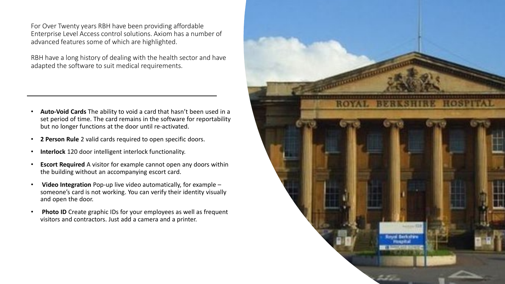For Over Twenty years RBH have been providing affordable Enterprise Level Access control solutions. Axiom has a number of advanced features some of which are highlighted.

RBH have a long history of dealing with the health sector and have adapted the software to suit medical requirements.

- **Auto-Void Cards** The ability to void a card that hasn't been used in a set period of time. The card remains in the software for reportability but no longer functions at the door until re-activated.
- **2 Person Rule** 2 valid cards required to open specific doors.
- **Interlock** 120 door intelligent interlock functionality.
- **Escort Required** A visitor for example cannot open any doors within the building without an accompanying escort card.
- **Video Integration** Pop-up live video automatically, for example someone's card is not working. You can verify their identity visually and open the door.
- **Photo ID** Create graphic IDs for your employees as well as frequent visitors and contractors. Just add a camera and a printer.